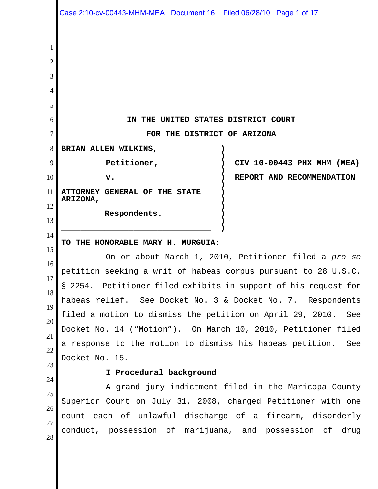|                                      | Case 2:10-cv-00443-MHM-MEA Document 16 Filed 06/28/10 Page 1 of 17                                                    |
|--------------------------------------|-----------------------------------------------------------------------------------------------------------------------|
| 1<br>2<br>3<br>4<br>5<br>6<br>7<br>8 | IN THE UNITED STATES DISTRICT COURT<br>FOR THE DISTRICT OF ARIZONA<br>BRIAN ALLEN WILKINS,                            |
| 9                                    | Petitioner,<br>CIV 10-00443 PHX MHM (MEA)                                                                             |
| 10                                   | REPORT AND RECOMMENDATION<br>v.                                                                                       |
| 11                                   | ATTORNEY GENERAL OF THE STATE<br>ARIZONA,                                                                             |
| 12<br>13                             | Respondents.                                                                                                          |
| 14                                   | TO THE HONORABLE MARY H. MURGUIA:                                                                                     |
| 15                                   | On or about March 1, 2010, Petitioner filed a pro se                                                                  |
| 16<br>17                             | petition seeking a writ of habeas corpus pursuant to 28 U.S.C.                                                        |
| 18                                   | § 2254. Petitioner filed exhibits in support of his request for                                                       |
| 19                                   | habeas relief. See Docket No. 3 & Docket No. 7. Respondents                                                           |
| 20                                   | filed a motion to dismiss the petition on April 29, 2010. See                                                         |
| 21                                   | Docket No. 14 ("Motion"). On March 10, 2010, Petitioner filed                                                         |
| 22                                   | a response to the motion to dismiss his habeas petition.<br><u>See</u>                                                |
| 23                                   | Docket No. 15.                                                                                                        |
| 24                                   | I Procedural background                                                                                               |
| 25                                   | A grand jury indictment filed in the Maricopa County                                                                  |
| 26                                   | Superior Court on July 31, 2008, charged Petitioner with one                                                          |
| 27<br>28                             | count each of unlawful discharge of a firearm, disorderly<br>conduct, possession of marijuana, and possession of drug |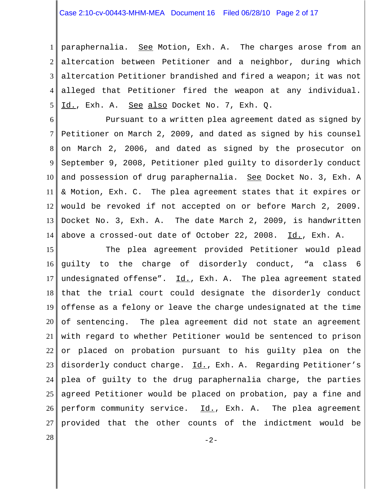1 2 3 4 5 paraphernalia. See Motion, Exh. A. The charges arose from an altercation between Petitioner and a neighbor, during which altercation Petitioner brandished and fired a weapon; it was not alleged that Petitioner fired the weapon at any individual. Id., Exh. A. See also Docket No. 7, Exh. Q.

6 7 8 9 10 11 12 13 14 Pursuant to a written plea agreement dated as signed by Petitioner on March 2, 2009, and dated as signed by his counsel on March 2, 2006, and dated as signed by the prosecutor on September 9, 2008, Petitioner pled guilty to disorderly conduct and possession of drug paraphernalia. See Docket No. 3, Exh. A & Motion, Exh. C. The plea agreement states that it expires or would be revoked if not accepted on or before March 2, 2009. Docket No. 3, Exh. A. The date March 2, 2009, is handwritten above a crossed-out date of October 22, 2008. Id., Exh. A.

15 16 17 18 19 20 21 22 23 24 25 26 27 The plea agreement provided Petitioner would plead guilty to the charge of disorderly conduct, "a class 6 undesignated offense". Id., Exh. A. The plea agreement stated that the trial court could designate the disorderly conduct offense as a felony or leave the charge undesignated at the time of sentencing. The plea agreement did not state an agreement with regard to whether Petitioner would be sentenced to prison or placed on probation pursuant to his guilty plea on the disorderly conduct charge. Id., Exh. A. Regarding Petitioner's plea of guilty to the drug paraphernalia charge, the parties agreed Petitioner would be placed on probation, pay a fine and perform community service. Id., Exh. A. The plea agreement provided that the other counts of the indictment would be

 $28 \text{ }$  -2-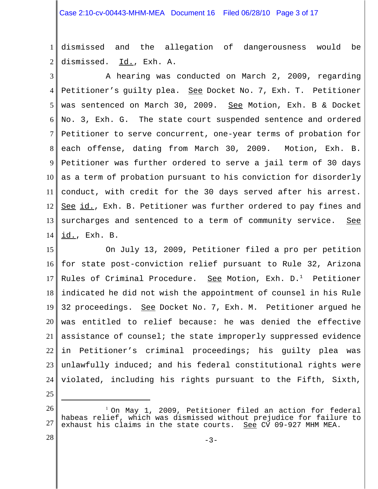1 2 dismissed and the allegation of dangerousness would be dismissed. Id., Exh. A.

3 4 5 6 7 8 9 10 11 12 13 14 A hearing was conducted on March 2, 2009, regarding Petitioner's quilty plea. See Docket No. 7, Exh. T. Petitioner was sentenced on March 30, 2009. See Motion, Exh. B & Docket No. 3, Exh. G. The state court suspended sentence and ordered Petitioner to serve concurrent, one-year terms of probation for each offense, dating from March 30, 2009. Motion, Exh. B. Petitioner was further ordered to serve a jail term of 30 days as a term of probation pursuant to his conviction for disorderly conduct, with credit for the 30 days served after his arrest. See id., Exh. B. Petitioner was further ordered to pay fines and surcharges and sentenced to a term of community service. See id., Exh. B.

15 16 17 18 19 20 21 22 23 24 On July 13, 2009, Petitioner filed a pro per petition for state post-conviction relief pursuant to Rule 32, Arizona Rules of Criminal Procedure. See Motion, Exh.  $D<sup>1</sup>$  Petitioner indicated he did not wish the appointment of counsel in his Rule 32 proceedings. See Docket No. 7, Exh. M. Petitioner argued he was entitled to relief because: he was denied the effective assistance of counsel; the state improperly suppressed evidence in Petitioner's criminal proceedings; his guilty plea was unlawfully induced; and his federal constitutional rights were violated, including his rights pursuant to the Fifth, Sixth,

25

28

<sup>26</sup> 27 <sup>1</sup> On May 1, 2009, Petitioner filed an action for federal habeas relief, which was dismissed without prejudice for failure to exhaust his claims in the state courts. See CV 09-927 MHM MEA.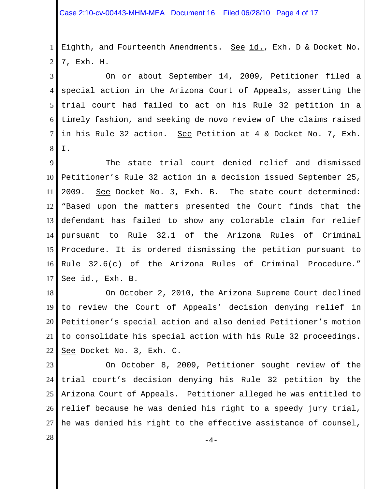1 2 Eighth, and Fourteenth Amendments. See id., Exh. D & Docket No. 7, Exh. H.

3 4 5 6 7 8 On or about September 14, 2009, Petitioner filed a special action in the Arizona Court of Appeals, asserting the trial court had failed to act on his Rule 32 petition in a timely fashion, and seeking de novo review of the claims raised in his Rule 32 action. See Petition at 4 & Docket No. 7, Exh. I.

9 10 11 12 13 14 15 16 17 The state trial court denied relief and dismissed Petitioner's Rule 32 action in a decision issued September 25, 2009. See Docket No. 3, Exh. B. The state court determined: "Based upon the matters presented the Court finds that the defendant has failed to show any colorable claim for relief pursuant to Rule 32.1 of the Arizona Rules of Criminal Procedure. It is ordered dismissing the petition pursuant to Rule 32.6(c) of the Arizona Rules of Criminal Procedure." See id., Exh. B.

18 19 20 21 22 On October 2, 2010, the Arizona Supreme Court declined to review the Court of Appeals' decision denying relief in Petitioner's special action and also denied Petitioner's motion to consolidate his special action with his Rule 32 proceedings. See Docket No. 3, Exh. C.

23 24 25 26 27 On October 8, 2009, Petitioner sought review of the trial court's decision denying his Rule 32 petition by the Arizona Court of Appeals. Petitioner alleged he was entitled to relief because he was denied his right to a speedy jury trial, he was denied his right to the effective assistance of counsel,

 $-4-$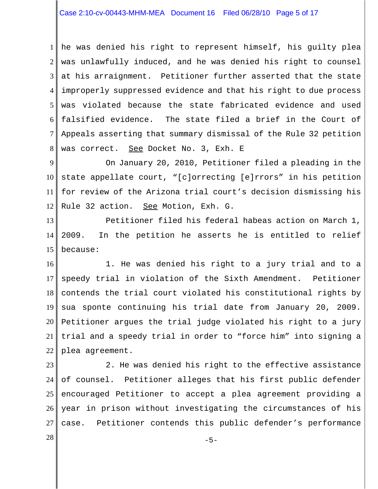1 2 3 4 5 6 7 8 he was denied his right to represent himself, his guilty plea was unlawfully induced, and he was denied his right to counsel at his arraignment. Petitioner further asserted that the state improperly suppressed evidence and that his right to due process was violated because the state fabricated evidence and used falsified evidence. The state filed a brief in the Court of Appeals asserting that summary dismissal of the Rule 32 petition was correct. See Docket No. 3, Exh. E

9 10 11 12 On January 20, 2010, Petitioner filed a pleading in the state appellate court, "[c]orrecting [e]rrors" in his petition for review of the Arizona trial court's decision dismissing his Rule 32 action. See Motion, Exh. G.

13 14 15 Petitioner filed his federal habeas action on March 1, 2009. In the petition he asserts he is entitled to relief because:

16 17 18 19 20 21 22 1. He was denied his right to a jury trial and to a speedy trial in violation of the Sixth Amendment. Petitioner contends the trial court violated his constitutional rights by sua sponte continuing his trial date from January 20, 2009. Petitioner argues the trial judge violated his right to a jury trial and a speedy trial in order to "force him" into signing a plea agreement.

23 24 25 26 27 2. He was denied his right to the effective assistance of counsel. Petitioner alleges that his first public defender encouraged Petitioner to accept a plea agreement providing a year in prison without investigating the circumstances of his case. Petitioner contends this public defender's performance

 $-5-$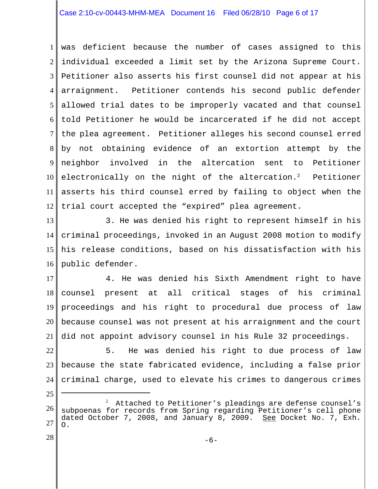## Case 2:10-cv-00443-MHM-MEA Document 16 Filed 06/28/10 Page 6 of 17

1 2 3 4 5 6 7 8 9 10 11 12 was deficient because the number of cases assigned to this individual exceeded a limit set by the Arizona Supreme Court. Petitioner also asserts his first counsel did not appear at his arraignment. Petitioner contends his second public defender allowed trial dates to be improperly vacated and that counsel told Petitioner he would be incarcerated if he did not accept the plea agreement. Petitioner alleges his second counsel erred by not obtaining evidence of an extortion attempt by the neighbor involved in the altercation sent to Petitioner electronically on the night of the altercation.<sup>2</sup> Petitioner asserts his third counsel erred by failing to object when the trial court accepted the "expired" plea agreement.

13 14 15 16 3. He was denied his right to represent himself in his criminal proceedings, invoked in an August 2008 motion to modify his release conditions, based on his dissatisfaction with his public defender.

17 18 19 20 21 4. He was denied his Sixth Amendment right to have counsel present at all critical stages of his criminal proceedings and his right to procedural due process of law because counsel was not present at his arraignment and the court did not appoint advisory counsel in his Rule 32 proceedings.

22 23 24 5. He was denied his right to due process of law because the state fabricated evidence, including a false prior criminal charge, used to elevate his crimes to dangerous crimes

28

25

<sup>26</sup> 27 2 Attached to Petitioner's pleadings are defense counsel's subpoenas for records from Spring regarding Petitioner's cell phone dated October 7, 2008, and January 8, 2009. See Docket No. 7, Exh. O.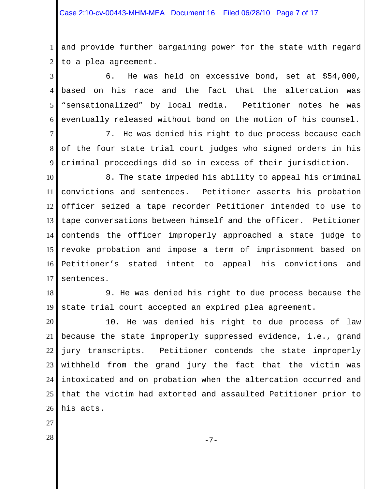1 2 and provide further bargaining power for the state with regard to a plea agreement.

3 4 5 6 6. He was held on excessive bond, set at \$54,000, based on his race and the fact that the altercation was "sensationalized" by local media. Petitioner notes he was eventually released without bond on the motion of his counsel.

7 8 9 7. He was denied his right to due process because each of the four state trial court judges who signed orders in his criminal proceedings did so in excess of their jurisdiction.

10 11 12 13 14 15 16 17 8. The state impeded his ability to appeal his criminal convictions and sentences. Petitioner asserts his probation officer seized a tape recorder Petitioner intended to use to tape conversations between himself and the officer. Petitioner contends the officer improperly approached a state judge to revoke probation and impose a term of imprisonment based on Petitioner's stated intent to appeal his convictions and sentences.

18 19 9. He was denied his right to due process because the state trial court accepted an expired plea agreement.

20 21 22 23 24 25 26 10. He was denied his right to due process of law because the state improperly suppressed evidence, i.e., grand jury transcripts. Petitioner contends the state improperly withheld from the grand jury the fact that the victim was intoxicated and on probation when the altercation occurred and that the victim had extorted and assaulted Petitioner prior to his acts.

27

 $-7-$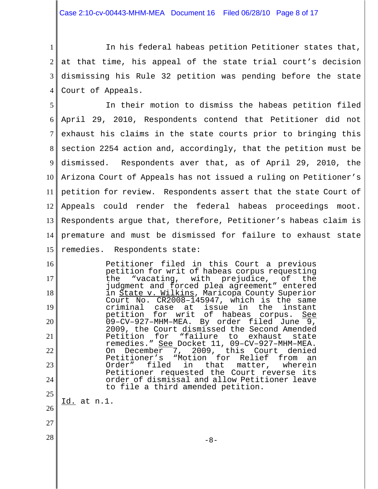Case 2:10-cv-00443-MHM-MEA Document 16 Filed 06/28/10 Page 8 of 17

1 2 3 4 In his federal habeas petition Petitioner states that, at that time, his appeal of the state trial court's decision dismissing his Rule 32 petition was pending before the state Court of Appeals.

5 6 7 8 9 10 11 12 13 14 15 In their motion to dismiss the habeas petition filed April 29, 2010, Respondents contend that Petitioner did not exhaust his claims in the state courts prior to bringing this section 2254 action and, accordingly, that the petition must be dismissed. Respondents aver that, as of April 29, 2010, the Arizona Court of Appeals has not issued a ruling on Petitioner's petition for review. Respondents assert that the state Court of Appeals could render the federal habeas proceedings moot. Respondents argue that, therefore, Petitioner's habeas claim is premature and must be dismissed for failure to exhaust state remedies. Respondents state:

Petitioner filed in this Court a previous petition for writ of habeas corpus requesting<br>the "vacating, with prejudice, of the the "vacating, with prejudice, of the judgment and forced plea agreement" entered in State v. Wilkins, Maricopa County Superior Court No. CR2008–145947, which is the same criminal case at issue in<br>petition for writ of habeas of habeas corpus. See 09–CV–927–MHM–MEA. By order filed June 9, 2009, the Court dismissed the Second Amended<br>Petition for "failure to exhaust state "failure to exhaust state remedies." See Docket 11, 09–CV–927–MHM–MEA. On December 7, 2009, this Court denied<br>Petitioner's "Motion for Relief from an Petitioner's "Motion for Relief from an<br>Order" filed in that matter, wherein matter, Petitioner requested the Court reverse its order of dismissal and allow Petitioner leave to file a third amended petition.

26 Id. at n.1.

27

16

17

18

19

20

21

22

23

24

25

 $-8-$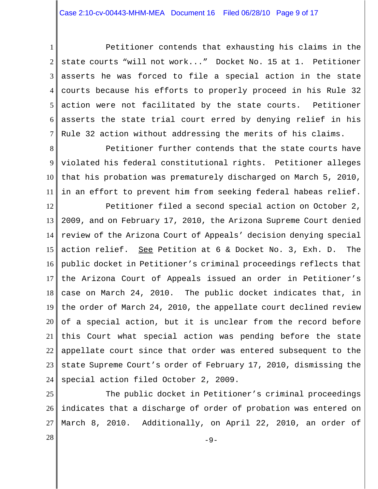1 2 3 4 5 6 7 Petitioner contends that exhausting his claims in the state courts "will not work..." Docket No. 15 at 1. Petitioner asserts he was forced to file a special action in the state courts because his efforts to properly proceed in his Rule 32 action were not facilitated by the state courts. Petitioner asserts the state trial court erred by denying relief in his Rule 32 action without addressing the merits of his claims.

8 9 10 11 Petitioner further contends that the state courts have violated his federal constitutional rights. Petitioner alleges that his probation was prematurely discharged on March 5, 2010, in an effort to prevent him from seeking federal habeas relief.

12 13 14 15 16 17 18 19 20 21 22 23 24 Petitioner filed a second special action on October 2, 2009, and on February 17, 2010, the Arizona Supreme Court denied review of the Arizona Court of Appeals' decision denying special action relief. See Petition at 6 & Docket No. 3, Exh. D. The public docket in Petitioner's criminal proceedings reflects that the Arizona Court of Appeals issued an order in Petitioner's case on March 24, 2010. The public docket indicates that, in the order of March 24, 2010, the appellate court declined review of a special action, but it is unclear from the record before this Court what special action was pending before the state appellate court since that order was entered subsequent to the state Supreme Court's order of February 17, 2010, dismissing the special action filed October 2, 2009.

25 26 27 The public docket in Petitioner's criminal proceedings indicates that a discharge of order of probation was entered on March 8, 2010. Additionally, on April 22, 2010, an order of

 $-9-$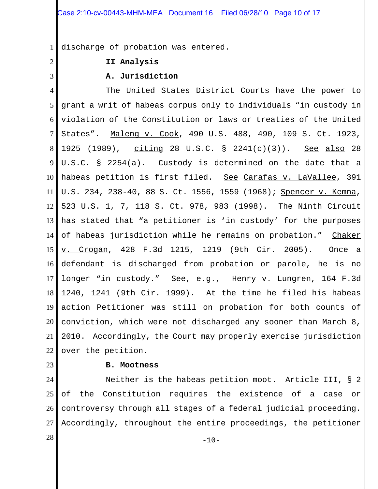1 discharge of probation was entered.

2

3

# **II Analysis**

# **A. Jurisdiction**

4 5 6 7 8 9 10 11 12 13 14 15 16 17 18 19 20 21 22 The United States District Courts have the power to grant a writ of habeas corpus only to individuals "in custody in violation of the Constitution or laws or treaties of the United States". Maleng v. Cook, 490 U.S. 488, 490, 109 S. Ct. 1923, 1925 (1989), citing 28 U.S.C. § 2241(c)(3)). See also 28 U.S.C. § 2254(a). Custody is determined on the date that a habeas petition is first filed. See Carafas v. LaVallee, 391 U.S. 234, 238-40, 88 S. Ct. 1556, 1559 (1968); Spencer v. Kemna, 523 U.S. 1, 7, 118 S. Ct. 978, 983 (1998). The Ninth Circuit has stated that "a petitioner is 'in custody' for the purposes of habeas jurisdiction while he remains on probation." Chaker v. Crogan, 428 F.3d 1215, 1219 (9th Cir. 2005). Once a defendant is discharged from probation or parole, he is no longer "in custody." See, e.g., Henry v. Lungren, 164 F.3d 1240, 1241 (9th Cir. 1999). At the time he filed his habeas action Petitioner was still on probation for both counts of conviction, which were not discharged any sooner than March 8, 2010. Accordingly, the Court may properly exercise jurisdiction over the petition.

23

### **B. Mootness**

24 25 26 27 Neither is the habeas petition moot. Article III, § 2 of the Constitution requires the existence of a case or controversy through all stages of a federal judicial proceeding. Accordingly, throughout the entire proceedings, the petitioner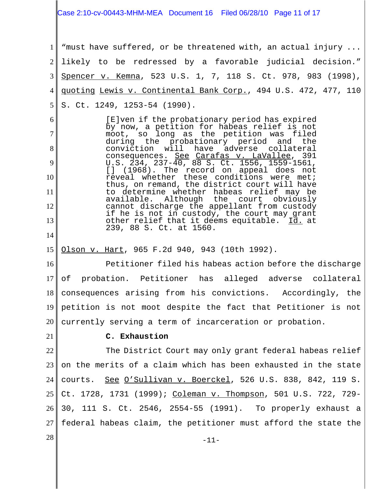Case 2:10-cv-00443-MHM-MEA Document 16 Filed 06/28/10 Page 11 of 17

1 2 3 4 5 "must have suffered, or be threatened with, an actual injury ... likely to be redressed by a favorable judicial decision." Spencer v. Kemna, 523 U.S. 1, 7, 118 S. Ct. 978, 983 (1998), quoting Lewis v. Continental Bank Corp., 494 U.S. 472, 477, 110 S. Ct. 1249, 1253-54 (1990).

[E]ven if the probationary period has expired by now, a petition for habeas relief is not moot, so long as the petition was filed during the probationary period and<br>conviction will have adverse collat have adverse collateral consequences. See Carafas v. LaVallee, 391 U.S. 234, 237-40, 88 S. Ct. 1556, 1559-1561, [] (1968). The record on appeal does not reveal whether these conditions were met; thus, on remand, the district court will have to determine whether habeas relief may be Although the court cannot discharge the appellant from custody if he is not in custody, the court may grant other relief that it deems equitable. Id. at 239, 88 S. Ct. at 1560.

15 Olson v. Hart, 965 F.2d 940, 943 (10th 1992).

16 17 18 19 20 Petitioner filed his habeas action before the discharge of probation. Petitioner has alleged adverse collateral consequences arising from his convictions. Accordingly, the petition is not moot despite the fact that Petitioner is not currently serving a term of incarceration or probation.

21

6

7

8

9

10

11

12

13

14

# **C. Exhaustion**

22 23 24 25 26 27 The District Court may only grant federal habeas relief on the merits of a claim which has been exhausted in the state courts. See O'Sullivan v. Boerckel, 526 U.S. 838, 842, 119 S. Ct. 1728, 1731 (1999); Coleman v. Thompson, 501 U.S. 722, 729-30, 111 S. Ct. 2546, 2554-55 (1991). To properly exhaust a federal habeas claim, the petitioner must afford the state the

 $28 \text{ }$  -11-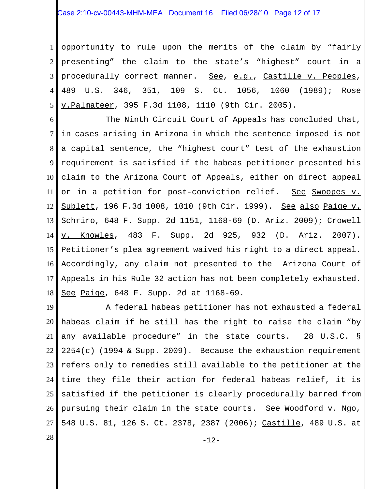1 2 3 4 5 opportunity to rule upon the merits of the claim by "fairly presenting" the claim to the state's "highest" court in a procedurally correct manner. See, e.g., Castille v. Peoples, 489 U.S. 346, 351, 109 S. Ct. 1056, 1060 (1989); Rose v.Palmateer, 395 F.3d 1108, 1110 (9th Cir. 2005).

6 7 8 9 10 11 12 13 14 15 16 17 18 The Ninth Circuit Court of Appeals has concluded that, in cases arising in Arizona in which the sentence imposed is not a capital sentence, the "highest court" test of the exhaustion requirement is satisfied if the habeas petitioner presented his claim to the Arizona Court of Appeals, either on direct appeal or in a petition for post-conviction relief. See Swoopes v. Sublett, 196 F.3d 1008, 1010 (9th Cir. 1999). See also Paige v. Schriro, 648 F. Supp. 2d 1151, 1168-69 (D. Ariz. 2009); Crowell v. Knowles, 483 F. Supp. 2d 925, 932 (D. Ariz. 2007). Petitioner's plea agreement waived his right to a direct appeal. Accordingly, any claim not presented to the Arizona Court of Appeals in his Rule 32 action has not been completely exhausted. See Paige, 648 F. Supp. 2d at 1168-69.

19 20 21 22 23 24 25 26 27 A federal habeas petitioner has not exhausted a federal habeas claim if he still has the right to raise the claim "by any available procedure" in the state courts. 28 U.S.C. § 2254(c) (1994 & Supp. 2009). Because the exhaustion requirement refers only to remedies still available to the petitioner at the time they file their action for federal habeas relief, it is satisfied if the petitioner is clearly procedurally barred from pursuing their claim in the state courts. See Woodford v. Ngo, 548 U.S. 81, 126 S. Ct. 2378, 2387 (2006); Castille, 489 U.S. at

 $28$  -12-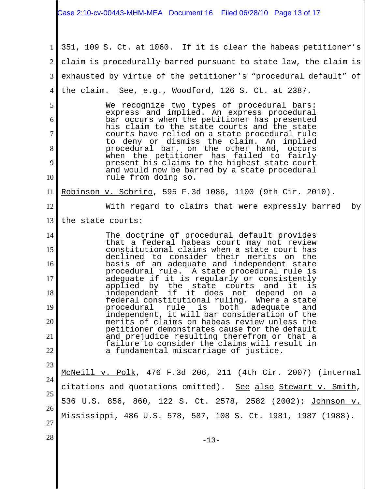#### 1 2 3 4 5 6 7 8 9 10 11 12 13 14 15 16 17 18 19 20 21 22 23 24 25 26 27  $28 \text{ }$  -13-351, 109 S. Ct. at 1060. If it is clear the habeas petitioner's claim is procedurally barred pursuant to state law, the claim is exhausted by virtue of the petitioner's "procedural default" of the claim.  $See, e.g., Woodford, 126 S. Ct. at 2387.$ We recognize two types of procedural bars: express and implied. An express procedural bar occurs when the petitioner has presented his claim to the state courts and the state courts have relied on a state procedural rule to deny or dismiss the claim. An implied procedural bar, on the other hand, occurs when the petitioner has failed to fairly present his claims to the highest state court and would now be barred by a state procedural rule from doing so. Robinson v. Schriro, 595 F.3d 1086, 1100 (9th Cir. 2010). With regard to claims that were expressly barred by the state courts: The doctrine of procedural default provides that a federal habeas court may not review constitutional claims when a state court has declined to consider their merits on the basis of an adequate and independent state procedural rule. A state procedural rule is adequate if it is regularly or consistently<br>applied by the state courts and it is applied by the state courts and it is<br>independent if it does not depend on a it does not depend on a federal constitutional ruling. Where a state procedural rule is both adequate independent, it will bar consideration of the merits of claims on habeas review unless the petitioner demonstrates cause for the default and prejudice resulting therefrom or that a failure to consider the claims will result in a fundamental miscarriage of justice. McNeill v. Polk, 476 F.3d 206, 211 (4th Cir. 2007) (internal citations and quotations omitted). See also Stewart v. Smith, 536 U.S. 856, 860, 122 S. Ct. 2578, 2582 (2002); Johnson v. Mississippi, 486 U.S. 578, 587, 108 S. Ct. 1981, 1987 (1988). Case 2:10-cv-00443-MHM-MEA Document 16 Filed 06/28/10 Page 13 of 17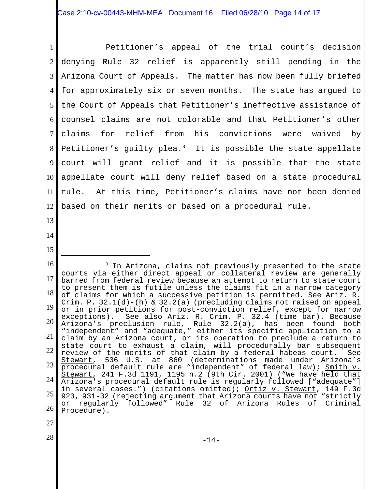1 2 3 4 5 6 7 8 9 10 11 12 Petitioner's appeal of the trial court's decision denying Rule 32 relief is apparently still pending in the Arizona Court of Appeals. The matter has now been fully briefed for approximately six or seven months. The state has argued to the Court of Appeals that Petitioner's ineffective assistance of counsel claims are not colorable and that Petitioner's other claims for relief from his convictions were waived by Petitioner's guilty plea.<sup>3</sup> It is possible the state appellate court will grant relief and it is possible that the state appellate court will deny relief based on a state procedural rule. At this time, Petitioner's claims have not been denied based on their merits or based on a procedural rule.

- 13 14
- 15

16 17 18 19 20 21 22 23 24 25 26  $3$  In Arizona, claims not previously presented to the state courts via either direct appeal or collateral review are generally barred from federal review because an attempt to return to state court to present them is futile unless the claims fit in a narrow category of claims for which a successive petition is permitted. See Ariz. R. Crim. P.  $32.1(d)-(h)$  &  $32.2(a)$  (precluding claims not raised on appeal or in prior petitions for post-conviction relief, except for narrow<br>exceptions). See also Ariz. R. Crim. P. 32.4 (time bar). Because See also Ariz. R. Crim. P. 32.4 (time bar). Because Arizona's preclusion rule, Rule 32.2(a), has been found both "independent" and "adequate," either its specific application to a claim by an Arizona court, or its operation to preclude a return to state court to exhaust a claim, will procedurally bar subsequent review of the merits of that claim by a federal habeas court. See<br>Stewart, 536 U.S. at 860 (determinations made under Arizona's Stewart, 536 U.S. at 860 (determinations made under Arizona's procedural default rule are "independent" of federal law); Smith v. Stewart, 241 F.3d 1191, 1195 n.2 (9th Cir. 2001) ("We have held that Arizona's procedural default rule is regularly followed ["adequate"] in several cases.") (citations omitted); Ortiz v. Stewart, 149 F.3d 923, 931-32 (rejecting argument that Arizona courts have not "strictly or regularly followed" Rule 32 of Arizona Rules of Criminal Procedure).

- 27
- 28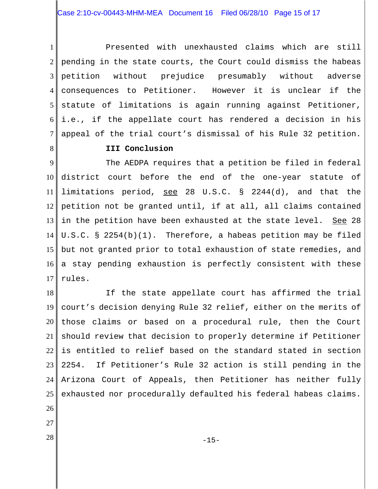1 2 3 4 5 6 7 Presented with unexhausted claims which are still pending in the state courts, the Court could dismiss the habeas petition without prejudice presumably without adverse consequences to Petitioner. However it is unclear if the statute of limitations is again running against Petitioner, i.e., if the appellate court has rendered a decision in his appeal of the trial court's dismissal of his Rule 32 petition.

8

## **III Conclusion**

9 10 11 12 13 14 15 16 17 The AEDPA requires that a petition be filed in federal district court before the end of the one-year statute of limitations period, see 28 U.S.C. § 2244(d), and that the petition not be granted until, if at all, all claims contained in the petition have been exhausted at the state level. See 28 U.S.C. § 2254(b)(1). Therefore, a habeas petition may be filed but not granted prior to total exhaustion of state remedies, and a stay pending exhaustion is perfectly consistent with these rules.

18 19 20 21 22 23 24 25 26 If the state appellate court has affirmed the trial court's decision denying Rule 32 relief, either on the merits of those claims or based on a procedural rule, then the Court should review that decision to properly determine if Petitioner is entitled to relief based on the standard stated in section 2254. If Petitioner's Rule 32 action is still pending in the Arizona Court of Appeals, then Petitioner has neither fully exhausted nor procedurally defaulted his federal habeas claims.

- 27
-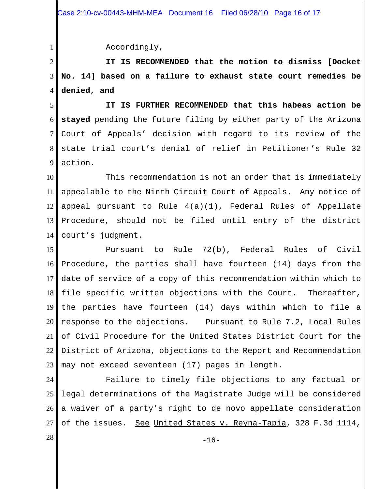Accordingly,

1

2 3 4 **IT IS RECOMMENDED that the motion to dismiss [Docket No. 14] based on a failure to exhaust state court remedies be denied, and**

5 6 7 8 9 **IT IS FURTHER RECOMMENDED that this habeas action be stayed** pending the future filing by either party of the Arizona Court of Appeals' decision with regard to its review of the state trial court's denial of relief in Petitioner's Rule 32 action.

10 11 12 13 14 This recommendation is not an order that is immediately appealable to the Ninth Circuit Court of Appeals. Any notice of appeal pursuant to Rule 4(a)(1), Federal Rules of Appellate Procedure, should not be filed until entry of the district court's judgment.

15 16 17 18 19 20 21 22 23 Pursuant to Rule 72(b), Federal Rules of Civil Procedure, the parties shall have fourteen (14) days from the date of service of a copy of this recommendation within which to file specific written objections with the Court. Thereafter, the parties have fourteen (14) days within which to file a response to the objections. Pursuant to Rule 7.2, Local Rules of Civil Procedure for the United States District Court for the District of Arizona, objections to the Report and Recommendation may not exceed seventeen (17) pages in length.

24 25 26 27 Failure to timely file objections to any factual or legal determinations of the Magistrate Judge will be considered a waiver of a party's right to de novo appellate consideration of the issues. See United States v. Reyna-Tapia, 328 F.3d 1114,

 $28 \text{ }$  -16-